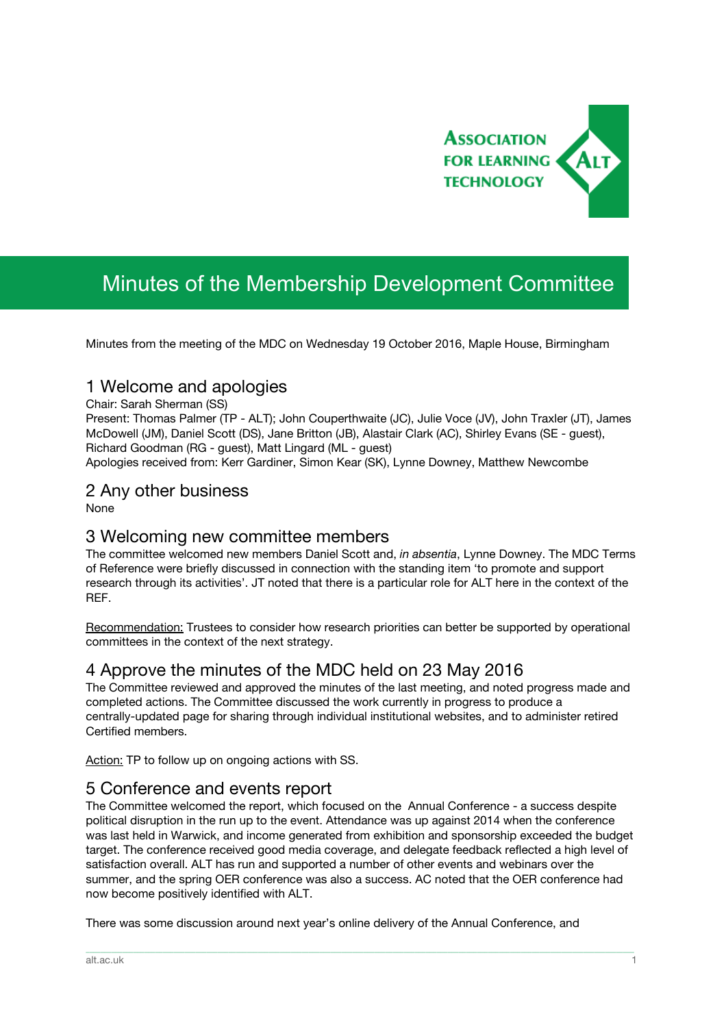

# Minutes of the Membership Development Committee

Minutes from the meeting of the MDC on Wednesday 19 October 2016, Maple House, Birmingham

### 1 Welcome and apologies

Chair: Sarah Sherman (SS)

Present: Thomas Palmer (TP - ALT); John Couperthwaite (JC), Julie Voce (JV), John Traxler (JT), James McDowell (JM), Daniel Scott (DS), Jane Britton (JB), Alastair Clark (AC), Shirley Evans (SE - guest), Richard Goodman (RG - guest), Matt Lingard (ML - guest)

Apologies received from: Kerr Gardiner, Simon Kear (SK), Lynne Downey, Matthew Newcombe

#### 2 Any other business

None

### 3 Welcoming new committee members

The committee welcomed new members Daniel Scott and, *in absentia*, Lynne Downey. The MDC Terms of Reference were briefly discussed in connection with the standing item 'to promote and support research through its activities'. JT noted that there is a particular role for ALT here in the context of the REF.

Recommendation: Trustees to consider how research priorities can better be supported by operational committees in the context of the next strategy.

### 4 Approve the minutes of the MDC held on 23 May 2016

The Committee reviewed and approved the minutes of the last meeting, and noted progress made and completed actions. The Committee discussed the work currently in progress to produce a centrally-updated page for sharing through individual institutional websites, and to administer retired Certified members.

Action: TP to follow up on ongoing actions with SS.

### 5 Conference and events report

The Committee welcomed the report, which focused on the Annual Conference - a success despite political disruption in the run up to the event. Attendance was up against 2014 when the conference was last held in Warwick, and income generated from exhibition and sponsorship exceeded the budget target. The conference received good media coverage, and delegate feedback reflected a high level of satisfaction overall. ALT has run and supported a number of other events and webinars over the summer, and the spring OER conference was also a success. AC noted that the OER conference had now become positively identified with ALT.

\_\_\_\_\_\_\_\_\_\_\_\_\_\_\_\_\_\_\_\_\_\_\_\_\_\_\_\_\_\_\_\_\_\_\_\_\_\_\_\_\_\_\_\_\_\_\_\_\_\_\_\_\_\_\_\_\_\_\_\_\_\_\_\_\_\_\_\_\_\_\_\_\_\_\_\_\_\_\_\_\_\_\_\_\_\_\_\_\_\_\_\_\_\_\_\_\_\_\_\_\_\_\_\_\_\_\_\_\_\_\_\_\_\_\_\_\_\_\_\_\_\_\_\_\_\_\_\_\_\_\_\_\_\_\_\_\_\_\_\_\_\_\_\_\_\_\_\_\_\_

There was some discussion around next year's online delivery of the Annual Conference, and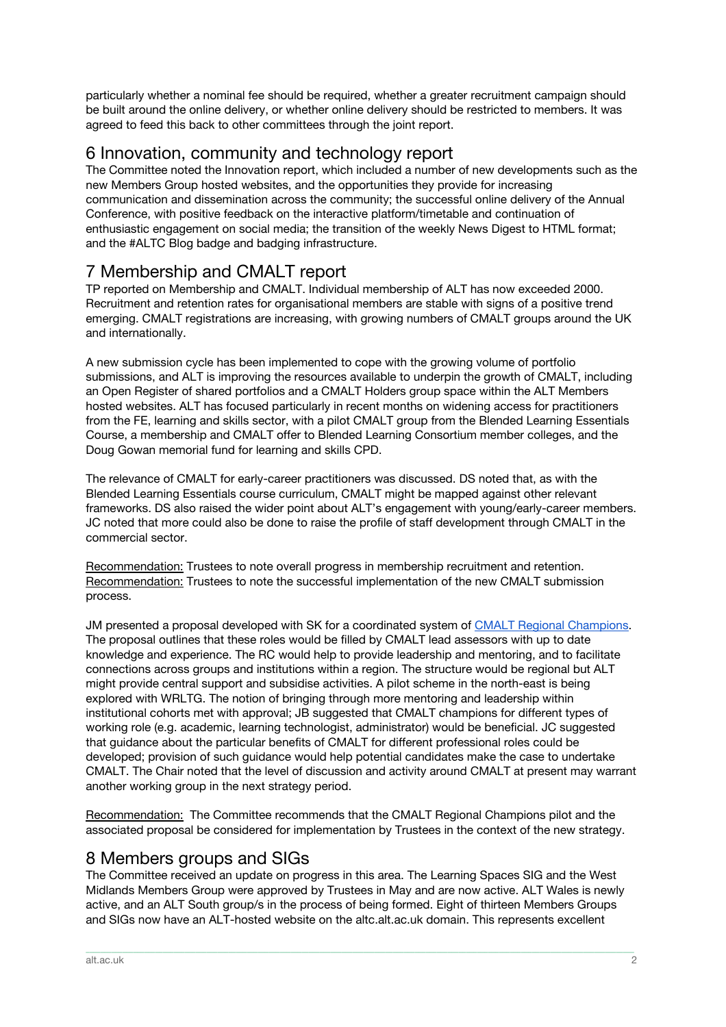particularly whether a nominal fee should be required, whether a greater recruitment campaign should be built around the online delivery, or whether online delivery should be restricted to members. It was agreed to feed this back to other committees through the joint report.

## 6 Innovation, community and technology report

The Committee noted the Innovation report, which included a number of new developments such as the new Members Group hosted websites, and the opportunities they provide for increasing communication and dissemination across the community; the successful online delivery of the Annual Conference, with positive feedback on the interactive platform/timetable and continuation of enthusiastic engagement on social media; the transition of the weekly News Digest to HTML format; and the #ALTC Blog badge and badging infrastructure.

# 7 Membership and CMALT report

TP reported on Membership and CMALT. Individual membership of ALT has now exceeded 2000. Recruitment and retention rates for organisational members are stable with signs of a positive trend emerging. CMALT registrations are increasing, with growing numbers of CMALT groups around the UK and internationally.

A new submission cycle has been implemented to cope with the growing volume of portfolio submissions, and ALT is improving the resources available to underpin the growth of CMALT, including an Open Register of shared portfolios and a CMALT Holders group space within the ALT Members hosted websites. ALT has focused particularly in recent months on widening access for practitioners from the FE, learning and skills sector, with a pilot CMALT group from the Blended Learning Essentials Course, a membership and CMALT offer to Blended Learning Consortium member colleges, and the Doug Gowan memorial fund for learning and skills CPD.

The relevance of CMALT for early-career practitioners was discussed. DS noted that, as with the Blended Learning Essentials course curriculum, CMALT might be mapped against other relevant frameworks. DS also raised the wider point about ALT's engagement with young/early-career members. JC noted that more could also be done to raise the profile of staff development through CMALT in the commercial sector.

Recommendation: Trustees to note overall progress in membership recruitment and retention. Recommendation: Trustees to note the successful implementation of the new CMALT submission process.

JM presented a proposal developed with SK for a coordinated system of [CMALT Regional Champions.](https://drive.google.com/file/d/0B4y2aH9TbdkkNHNKZFFsN3luVFE/view?usp=sharing) The proposal outlines that these roles would be filled by CMALT lead assessors with up to date knowledge and experience. The RC would help to provide leadership and mentoring, and to facilitate connections across groups and institutions within a region. The structure would be regional but ALT might provide central support and subsidise activities. A pilot scheme in the north-east is being explored with WRLTG. The notion of bringing through more mentoring and leadership within institutional cohorts met with approval; JB suggested that CMALT champions for different types of working role (e.g. academic, learning technologist, administrator) would be beneficial. JC suggested that guidance about the particular benefits of CMALT for different professional roles could be developed; provision of such guidance would help potential candidates make the case to undertake CMALT. The Chair noted that the level of discussion and activity around CMALT at present may warrant another working group in the next strategy period.

Recommendation: The Committee recommends that the CMALT Regional Champions pilot and the associated proposal be considered for implementation by Trustees in the context of the new strategy.

# 8 Members groups and SIGs

The Committee received an update on progress in this area. The Learning Spaces SIG and the West Midlands Members Group were approved by Trustees in May and are now active. ALT Wales is newly active, and an ALT South group/s in the process of being formed. Eight of thirteen Members Groups and SIGs now have an ALT-hosted website on the altc.alt.ac.uk domain. This represents excellent

\_\_\_\_\_\_\_\_\_\_\_\_\_\_\_\_\_\_\_\_\_\_\_\_\_\_\_\_\_\_\_\_\_\_\_\_\_\_\_\_\_\_\_\_\_\_\_\_\_\_\_\_\_\_\_\_\_\_\_\_\_\_\_\_\_\_\_\_\_\_\_\_\_\_\_\_\_\_\_\_\_\_\_\_\_\_\_\_\_\_\_\_\_\_\_\_\_\_\_\_\_\_\_\_\_\_\_\_\_\_\_\_\_\_\_\_\_\_\_\_\_\_\_\_\_\_\_\_\_\_\_\_\_\_\_\_\_\_\_\_\_\_\_\_\_\_\_\_\_\_